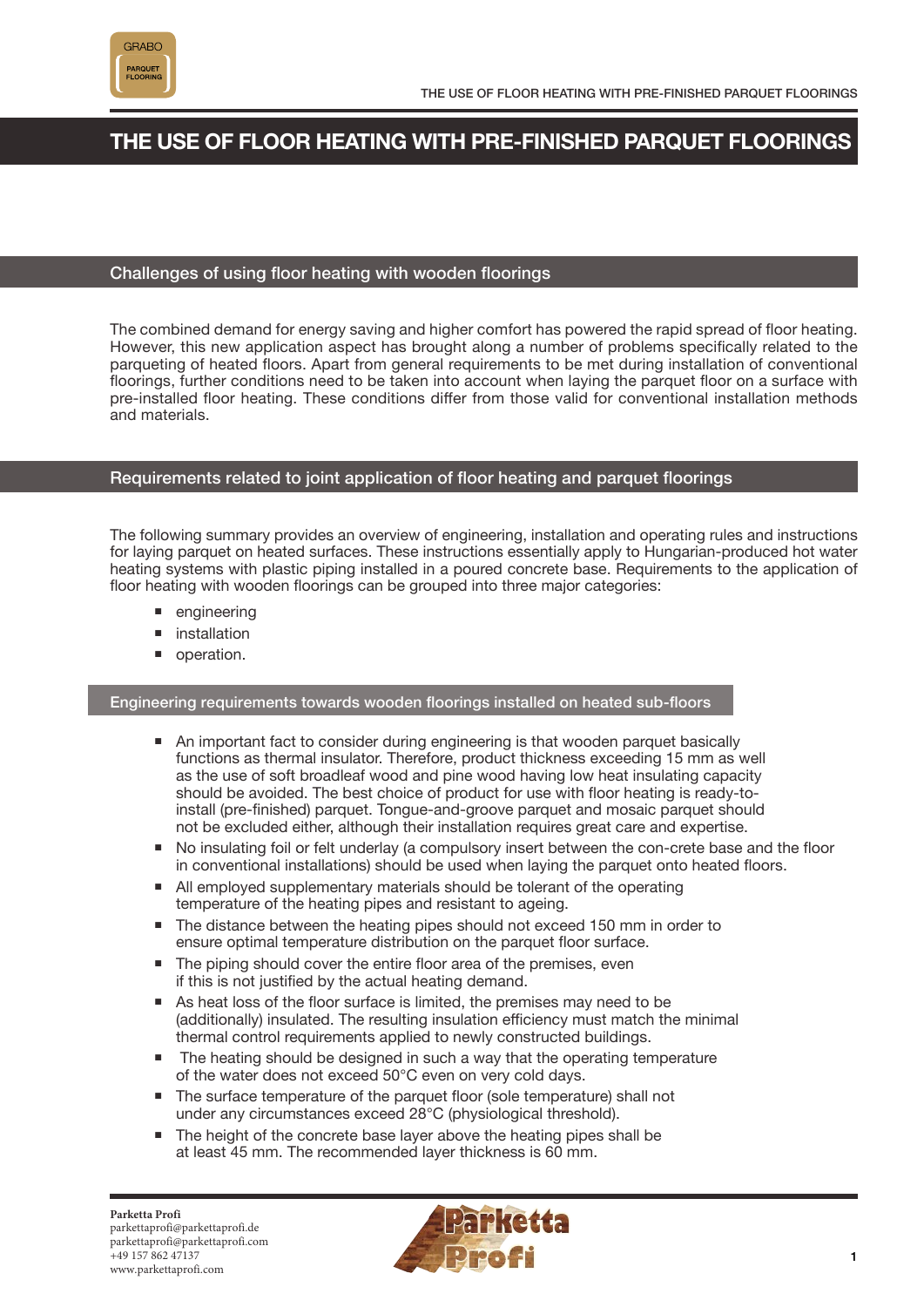

# **THE USE OF FLOOR HEATING WITH PRE-FINISHED PARQUET FLOORINGS**

# Challenges of using floor heating with wooden floorings

The combined demand for energy saving and higher comfort has powered the rapid spread of floor heating. However, this new application aspect has brought along a number of problems specifically related to the parqueting of heated floors. Apart from general requirements to be met during installation of conventional floorings, further conditions need to be taken into account when laying the parquet floor on a surface with pre-installed floor heating. These conditions differ from those valid for conventional installation methods and materials.

# Requirements related to joint application of floor heating and parquet floorings

The following summary provides an overview of engineering, installation and operating rules and instructions for laying parquet on heated surfaces. These instructions essentially apply to Hungarian-produced hot water heating systems with plastic piping installed in a poured concrete base. Requirements to the application of floor heating with wooden floorings can be grouped into three major categories:

- **engineering**
- **n** installation
- operation.

## Engineering requirements towards wooden floorings installed on heated sub-floors

- An important fact to consider during engineering is that wooden parquet basically functions as thermal insulator. Therefore, product thickness exceeding 15 mm as well as the use of soft broadleaf wood and pine wood having low heat insulating capacity should be avoided. The best choice of product for use with floor heating is ready-toinstall (pre-finished) parquet. Tongue-and-groove parquet and mosaic parquet should not be excluded either, although their installation requires great care and expertise.
- No insulating foil or felt underlay (a compulsory insert between the con-crete base and the floor in conventional installations) should be used when laying the parquet onto heated floors.
- All employed supplementary materials should be tolerant of the operating temperature of the heating pipes and resistant to ageing.
- The distance between the heating pipes should not exceed 150 mm in order to ensure optimal temperature distribution on the parquet floor surface.
- The piping should cover the entire floor area of the premises, even if this is not justified by the actual heating demand.
- As heat loss of the floor surface is limited, the premises may need to be (additionally) insulated. The resulting insulation efficiency must match the minimal thermal control requirements applied to newly constructed buildings.
- The heating should be designed in such a way that the operating temperature of the water does not exceed 50°C even on very cold days.
- The surface temperature of the parquet floor (sole temperature) shall not under any circumstances exceed 28°C (physiological threshold).
- The height of the concrete base layer above the heating pipes shall be at least 45 mm. The recommended layer thickness is 60 mm.

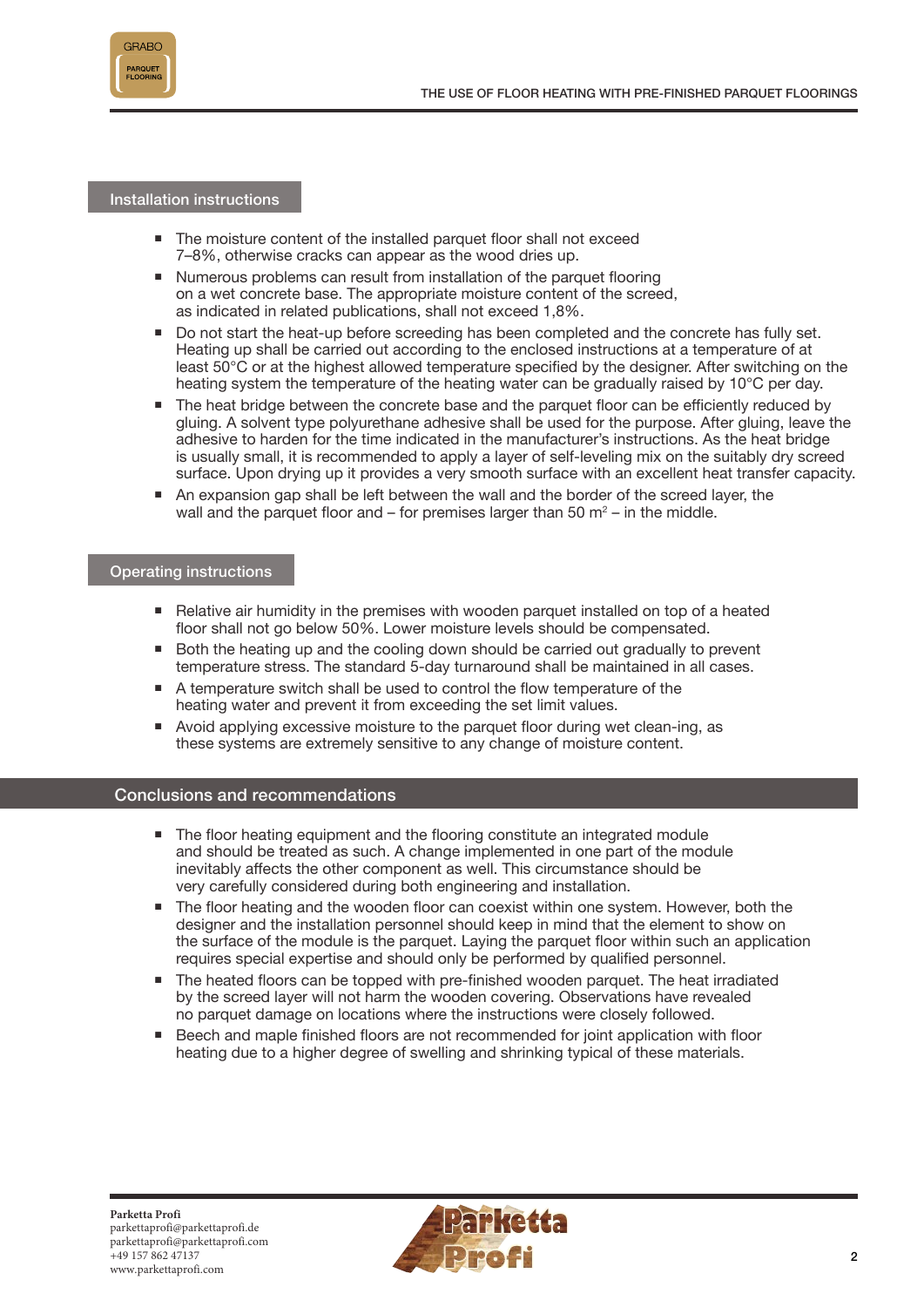

Installation instructions

- The moisture content of the installed parquet floor shall not exceed 7–8%, otherwise cracks can appear as the wood dries up.
- Numerous problems can result from installation of the parquet flooring on a wet concrete base. The appropriate moisture content of the screed, as indicated in related publications, shall not exceed 1,8%.
- Do not start the heat-up before screeding has been completed and the concrete has fully set. Heating up shall be carried out according to the enclosed instructions at a temperature of at least 50°C or at the highest allowed temperature specified by the designer. After switching on the heating system the temperature of the heating water can be gradually raised by 10°C per day.
- The heat bridge between the concrete base and the parquet floor can be efficiently reduced by gluing. A solvent type polyurethane adhesive shall be used for the purpose. After gluing, leave the adhesive to harden for the time indicated in the manufacturer's instructions. As the heat bridge is usually small, it is recommended to apply a layer of self-leveling mix on the suitably dry screed surface. Upon drying up it provides a very smooth surface with an excellent heat transfer capacity.
- An expansion gap shall be left between the wall and the border of the screed layer, the wall and the parquet floor and  $-$  for premises larger than 50  $\text{m}^2$  – in the middle.

#### Operating instructions

- Relative air humidity in the premises with wooden parquet installed on top of a heated floor shall not go below 50%. Lower moisture levels should be compensated.
- Both the heating up and the cooling down should be carried out gradually to prevent temperature stress. The standard 5-day turnaround shall be maintained in all cases.
- A temperature switch shall be used to control the flow temperature of the heating water and prevent it from exceeding the set limit values.
- Avoid applying excessive moisture to the parquet floor during wet clean-ing, as these systems are extremely sensitive to any change of moisture content.

## Conclusions and recommendations

- The floor heating equipment and the flooring constitute an integrated module and should be treated as such. A change implemented in one part of the module inevitably affects the other component as well. This circumstance should be very carefully considered during both engineering and installation.
- The floor heating and the wooden floor can coexist within one system. However, both the designer and the installation personnel should keep in mind that the element to show on the surface of the module is the parquet. Laying the parquet floor within such an application requires special expertise and should only be performed by qualified personnel.
- The heated floors can be topped with pre-finished wooden parquet. The heat irradiated by the screed layer will not harm the wooden covering. Observations have revealed no parquet damage on locations where the instructions were closely followed.
- Beech and maple finished floors are not recommended for joint application with floor heating due to a higher degree of swelling and shrinking typical of these materials.

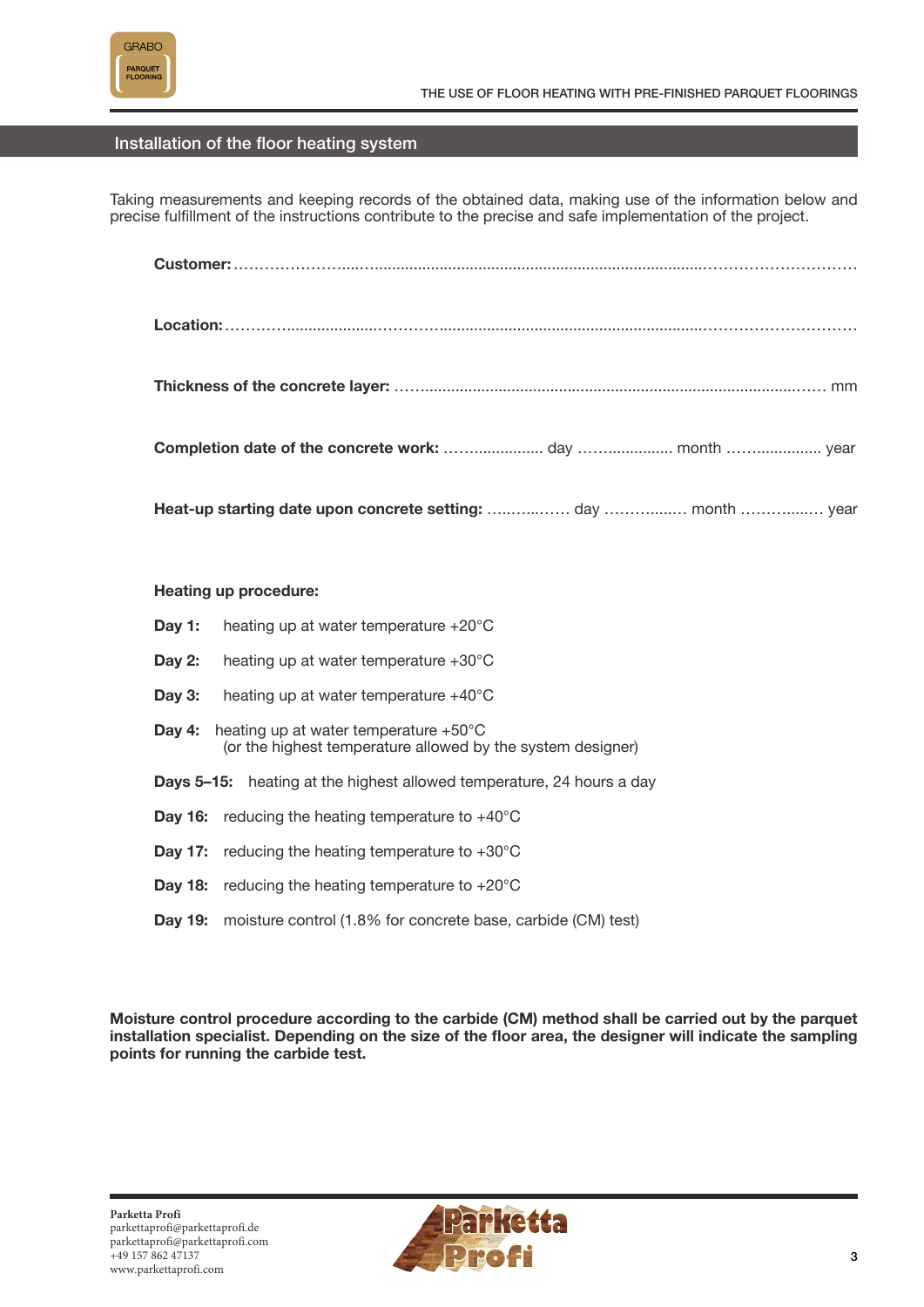

# Installation of the floor heating system

Taking measurements and keeping records of the obtained data, making use of the information below and precise fulfillment of the instructions contribute to the precise and safe implementation of the project.

**Customer:** …………………....…............................................................................…………………………

- **Location:** ………….....................………….............................................................…………………………
- **Thickness of the concrete layer:** ……......................................................................................…… mm

**Completion date of the concrete work:** ……................ day ……............... month ……............... year

**Heat-up starting date upon concrete setting:** …..…...…… day ……….....… month ……….....… year

## **Heating up procedure:**

| Day 1:                                                                       | heating up at water temperature $+20^{\circ}$ C                                                                |
|------------------------------------------------------------------------------|----------------------------------------------------------------------------------------------------------------|
| Day 2:                                                                       | heating up at water temperature $+30^{\circ}$ C                                                                |
| Day 3:                                                                       | heating up at water temperature $+40^{\circ}$ C                                                                |
| Dav 4:                                                                       | heating up at water temperature $+50^{\circ}$ C<br>(or the highest temperature allowed by the system designer) |
| <b>Days 5–15:</b> heating at the highest allowed temperature, 24 hours a day |                                                                                                                |
|                                                                              | <b>Day 16:</b> reducing the heating temperature to $+40^{\circ}$ C                                             |
|                                                                              | <b>Day 17:</b> reducing the heating temperature to $+30^{\circ}$ C                                             |
| Dav 18:                                                                      | reducing the heating temperature to $+20^{\circ}$ C                                                            |
|                                                                              | <b>Day 19:</b> moisture control (1.8% for concrete base, carbide (CM) test)                                    |

**Moisture control procedure according to the carbide (CM) method shall be carried out by the parquet installation specialist. Depending on the size of the floor area, the designer will indicate the sampling points for running the carbide test.**